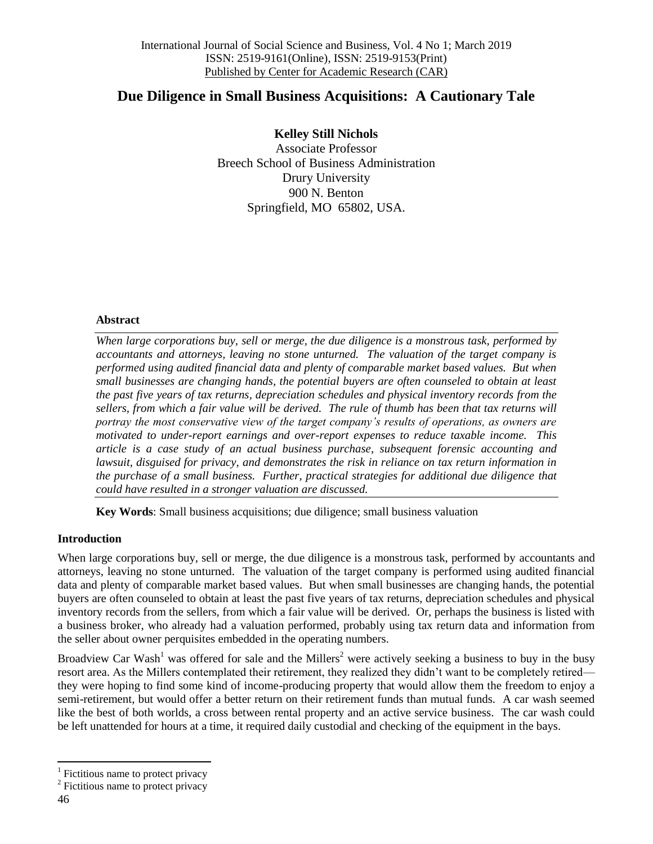# **Due Diligence in Small Business Acquisitions: A Cautionary Tale**

**Kelley Still Nichols** Associate Professor Breech School of Business Administration Drury University 900 N. Benton Springfield, MO 65802, USA.

#### **Abstract**

*When large corporations buy, sell or merge, the due diligence is a monstrous task, performed by accountants and attorneys, leaving no stone unturned. The valuation of the target company is performed using audited financial data and plenty of comparable market based values. But when small businesses are changing hands, the potential buyers are often counseled to obtain at least the past five years of tax returns, depreciation schedules and physical inventory records from the sellers, from which a fair value will be derived. The rule of thumb has been that tax returns will portray the most conservative view of the target company's results of operations, as owners are motivated to under-report earnings and over-report expenses to reduce taxable income. This article is a case study of an actual business purchase, subsequent forensic accounting and lawsuit, disguised for privacy, and demonstrates the risk in reliance on tax return information in the purchase of a small business. Further, practical strategies for additional due diligence that could have resulted in a stronger valuation are discussed.*

**Key Words**: Small business acquisitions; due diligence; small business valuation

## **Introduction**

When large corporations buy, sell or merge, the due diligence is a monstrous task, performed by accountants and attorneys, leaving no stone unturned. The valuation of the target company is performed using audited financial data and plenty of comparable market based values. But when small businesses are changing hands, the potential buyers are often counseled to obtain at least the past five years of tax returns, depreciation schedules and physical inventory records from the sellers, from which a fair value will be derived. Or, perhaps the business is listed with a business broker, who already had a valuation performed, probably using tax return data and information from the seller about owner perquisites embedded in the operating numbers.

Broadview Car Wash<sup>1</sup> was offered for sale and the Millers<sup>2</sup> were actively seeking a business to buy in the busy resort area. As the Millers contemplated their retirement, they realized they didn't want to be completely retired they were hoping to find some kind of income-producing property that would allow them the freedom to enjoy a semi-retirement, but would offer a better return on their retirement funds than mutual funds. A car wash seemed like the best of both worlds, a cross between rental property and an active service business. The car wash could be left unattended for hours at a time, it required daily custodial and checking of the equipment in the bays.

 $\overline{a}$ 

<sup>1</sup> Fictitious name to protect privacy

<sup>&</sup>lt;sup>2</sup> Fictitious name to protect privacy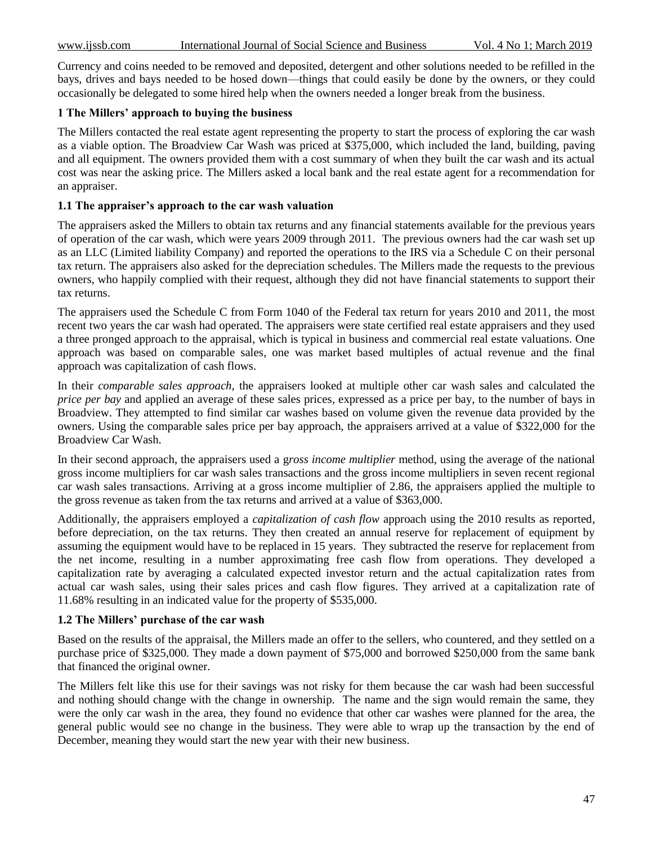Currency and coins needed to be removed and deposited, detergent and other solutions needed to be refilled in the bays, drives and bays needed to be hosed down—things that could easily be done by the owners, or they could occasionally be delegated to some hired help when the owners needed a longer break from the business.

#### **1 The Millers' approach to buying the business**

The Millers contacted the real estate agent representing the property to start the process of exploring the car wash as a viable option. The Broadview Car Wash was priced at \$375,000, which included the land, building, paving and all equipment. The owners provided them with a cost summary of when they built the car wash and its actual cost was near the asking price. The Millers asked a local bank and the real estate agent for a recommendation for an appraiser.

#### **1.1 The appraiser's approach to the car wash valuation**

The appraisers asked the Millers to obtain tax returns and any financial statements available for the previous years of operation of the car wash, which were years 2009 through 2011. The previous owners had the car wash set up as an LLC (Limited liability Company) and reported the operations to the IRS via a Schedule C on their personal tax return. The appraisers also asked for the depreciation schedules. The Millers made the requests to the previous owners, who happily complied with their request, although they did not have financial statements to support their tax returns.

The appraisers used the Schedule C from Form 1040 of the Federal tax return for years 2010 and 2011, the most recent two years the car wash had operated. The appraisers were state certified real estate appraisers and they used a three pronged approach to the appraisal, which is typical in business and commercial real estate valuations. One approach was based on comparable sales, one was market based multiples of actual revenue and the final approach was capitalization of cash flows.

In their *comparable sales approach*, the appraisers looked at multiple other car wash sales and calculated the *price per bay* and applied an average of these sales prices, expressed as a price per bay, to the number of bays in Broadview. They attempted to find similar car washes based on volume given the revenue data provided by the owners. Using the comparable sales price per bay approach, the appraisers arrived at a value of \$322,000 for the Broadview Car Wash.

In their second approach, the appraisers used a g*ross income multiplier* method, using the average of the national gross income multipliers for car wash sales transactions and the gross income multipliers in seven recent regional car wash sales transactions. Arriving at a gross income multiplier of 2.86, the appraisers applied the multiple to the gross revenue as taken from the tax returns and arrived at a value of \$363,000.

Additionally, the appraisers employed a *capitalization of cash flow* approach using the 2010 results as reported, before depreciation, on the tax returns. They then created an annual reserve for replacement of equipment by assuming the equipment would have to be replaced in 15 years. They subtracted the reserve for replacement from the net income, resulting in a number approximating free cash flow from operations. They developed a capitalization rate by averaging a calculated expected investor return and the actual capitalization rates from actual car wash sales, using their sales prices and cash flow figures. They arrived at a capitalization rate of 11.68% resulting in an indicated value for the property of \$535,000.

#### **1.2 The Millers' purchase of the car wash**

Based on the results of the appraisal, the Millers made an offer to the sellers, who countered, and they settled on a purchase price of \$325,000. They made a down payment of \$75,000 and borrowed \$250,000 from the same bank that financed the original owner.

The Millers felt like this use for their savings was not risky for them because the car wash had been successful and nothing should change with the change in ownership. The name and the sign would remain the same, they were the only car wash in the area, they found no evidence that other car washes were planned for the area, the general public would see no change in the business. They were able to wrap up the transaction by the end of December, meaning they would start the new year with their new business.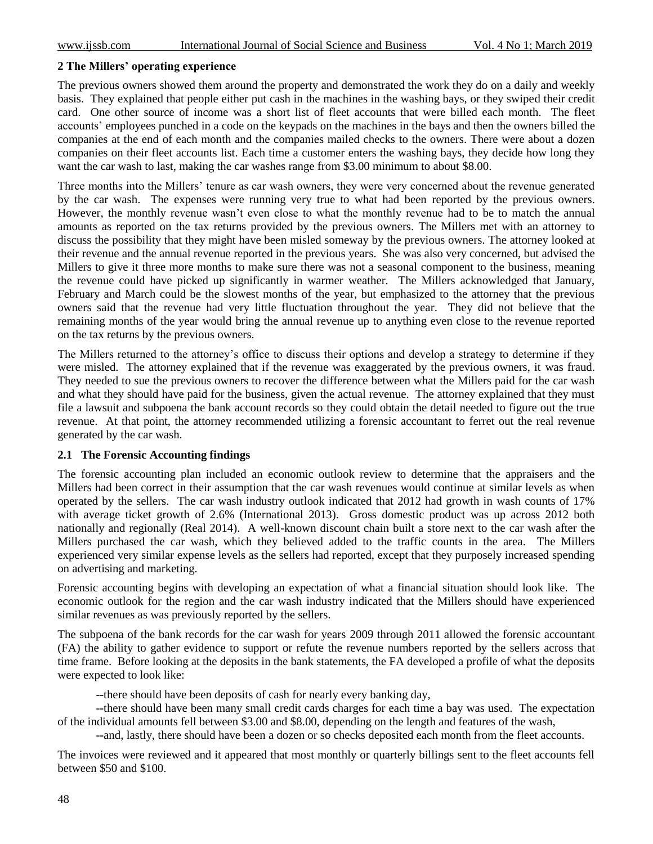#### **2 The Millers' operating experience**

The previous owners showed them around the property and demonstrated the work they do on a daily and weekly basis. They explained that people either put cash in the machines in the washing bays, or they swiped their credit card. One other source of income was a short list of fleet accounts that were billed each month. The fleet accounts' employees punched in a code on the keypads on the machines in the bays and then the owners billed the companies at the end of each month and the companies mailed checks to the owners. There were about a dozen companies on their fleet accounts list. Each time a customer enters the washing bays, they decide how long they want the car wash to last, making the car washes range from \$3.00 minimum to about \$8.00.

Three months into the Millers' tenure as car wash owners, they were very concerned about the revenue generated by the car wash. The expenses were running very true to what had been reported by the previous owners. However, the monthly revenue wasn't even close to what the monthly revenue had to be to match the annual amounts as reported on the tax returns provided by the previous owners. The Millers met with an attorney to discuss the possibility that they might have been misled someway by the previous owners. The attorney looked at their revenue and the annual revenue reported in the previous years. She was also very concerned, but advised the Millers to give it three more months to make sure there was not a seasonal component to the business, meaning the revenue could have picked up significantly in warmer weather. The Millers acknowledged that January, February and March could be the slowest months of the year, but emphasized to the attorney that the previous owners said that the revenue had very little fluctuation throughout the year. They did not believe that the remaining months of the year would bring the annual revenue up to anything even close to the revenue reported on the tax returns by the previous owners.

The Millers returned to the attorney's office to discuss their options and develop a strategy to determine if they were misled. The attorney explained that if the revenue was exaggerated by the previous owners, it was fraud. They needed to sue the previous owners to recover the difference between what the Millers paid for the car wash and what they should have paid for the business, given the actual revenue. The attorney explained that they must file a lawsuit and subpoena the bank account records so they could obtain the detail needed to figure out the true revenue. At that point, the attorney recommended utilizing a forensic accountant to ferret out the real revenue generated by the car wash.

#### **2.1 The Forensic Accounting findings**

The forensic accounting plan included an economic outlook review to determine that the appraisers and the Millers had been correct in their assumption that the car wash revenues would continue at similar levels as when operated by the sellers. The car wash industry outlook indicated that 2012 had growth in wash counts of 17% with average ticket growth of 2.6% (International 2013). Gross domestic product was up across 2012 both nationally and regionally (Real 2014). A well-known discount chain built a store next to the car wash after the Millers purchased the car wash, which they believed added to the traffic counts in the area. The Millers experienced very similar expense levels as the sellers had reported, except that they purposely increased spending on advertising and marketing.

Forensic accounting begins with developing an expectation of what a financial situation should look like. The economic outlook for the region and the car wash industry indicated that the Millers should have experienced similar revenues as was previously reported by the sellers.

The subpoena of the bank records for the car wash for years 2009 through 2011 allowed the forensic accountant (FA) the ability to gather evidence to support or refute the revenue numbers reported by the sellers across that time frame. Before looking at the deposits in the bank statements, the FA developed a profile of what the deposits were expected to look like:

--there should have been deposits of cash for nearly every banking day,

--there should have been many small credit cards charges for each time a bay was used. The expectation of the individual amounts fell between \$3.00 and \$8.00, depending on the length and features of the wash,

--and, lastly, there should have been a dozen or so checks deposited each month from the fleet accounts.

The invoices were reviewed and it appeared that most monthly or quarterly billings sent to the fleet accounts fell between \$50 and \$100.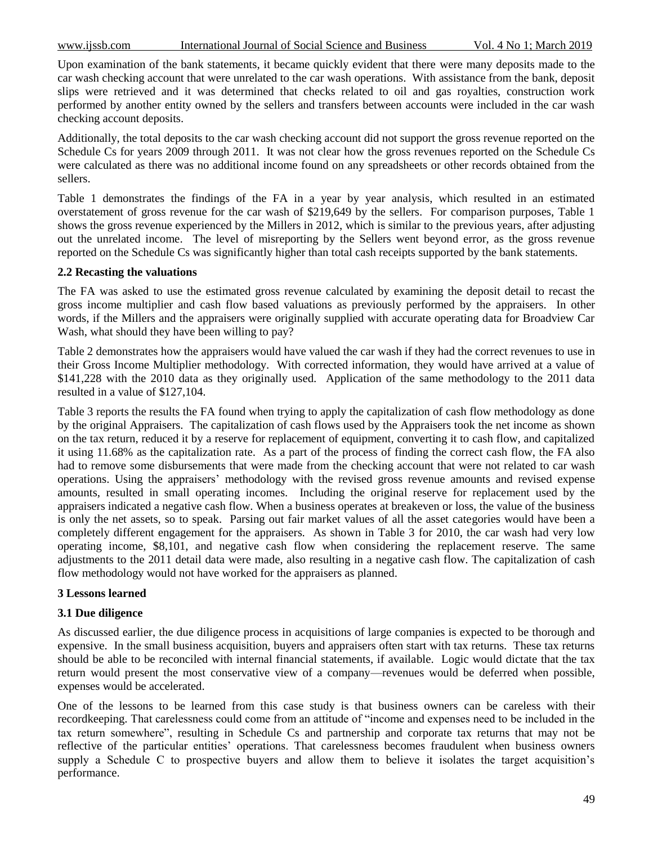Upon examination of the bank statements, it became quickly evident that there were many deposits made to the car wash checking account that were unrelated to the car wash operations. With assistance from the bank, deposit slips were retrieved and it was determined that checks related to oil and gas royalties, construction work performed by another entity owned by the sellers and transfers between accounts were included in the car wash checking account deposits.

Additionally, the total deposits to the car wash checking account did not support the gross revenue reported on the Schedule Cs for years 2009 through 2011. It was not clear how the gross revenues reported on the Schedule Cs were calculated as there was no additional income found on any spreadsheets or other records obtained from the sellers.

Table 1 demonstrates the findings of the FA in a year by year analysis, which resulted in an estimated overstatement of gross revenue for the car wash of \$219,649 by the sellers. For comparison purposes, Table 1 shows the gross revenue experienced by the Millers in 2012, which is similar to the previous years, after adjusting out the unrelated income. The level of misreporting by the Sellers went beyond error, as the gross revenue reported on the Schedule Cs was significantly higher than total cash receipts supported by the bank statements.

#### **2.2 Recasting the valuations**

The FA was asked to use the estimated gross revenue calculated by examining the deposit detail to recast the gross income multiplier and cash flow based valuations as previously performed by the appraisers. In other words, if the Millers and the appraisers were originally supplied with accurate operating data for Broadview Car Wash, what should they have been willing to pay?

Table 2 demonstrates how the appraisers would have valued the car wash if they had the correct revenues to use in their Gross Income Multiplier methodology. With corrected information, they would have arrived at a value of \$141,228 with the 2010 data as they originally used. Application of the same methodology to the 2011 data resulted in a value of \$127,104.

Table 3 reports the results the FA found when trying to apply the capitalization of cash flow methodology as done by the original Appraisers. The capitalization of cash flows used by the Appraisers took the net income as shown on the tax return, reduced it by a reserve for replacement of equipment, converting it to cash flow, and capitalized it using 11.68% as the capitalization rate. As a part of the process of finding the correct cash flow, the FA also had to remove some disbursements that were made from the checking account that were not related to car wash operations. Using the appraisers' methodology with the revised gross revenue amounts and revised expense amounts, resulted in small operating incomes. Including the original reserve for replacement used by the appraisers indicated a negative cash flow. When a business operates at breakeven or loss, the value of the business is only the net assets, so to speak. Parsing out fair market values of all the asset categories would have been a completely different engagement for the appraisers. As shown in Table 3 for 2010, the car wash had very low operating income, \$8,101, and negative cash flow when considering the replacement reserve. The same adjustments to the 2011 detail data were made, also resulting in a negative cash flow. The capitalization of cash flow methodology would not have worked for the appraisers as planned.

#### **3 Lessons learned**

#### **3.1 Due diligence**

As discussed earlier, the due diligence process in acquisitions of large companies is expected to be thorough and expensive. In the small business acquisition, buyers and appraisers often start with tax returns. These tax returns should be able to be reconciled with internal financial statements, if available. Logic would dictate that the tax return would present the most conservative view of a company—revenues would be deferred when possible, expenses would be accelerated.

One of the lessons to be learned from this case study is that business owners can be careless with their recordkeeping. That carelessness could come from an attitude of "income and expenses need to be included in the tax return somewhere", resulting in Schedule Cs and partnership and corporate tax returns that may not be reflective of the particular entities' operations. That carelessness becomes fraudulent when business owners supply a Schedule C to prospective buyers and allow them to believe it isolates the target acquisition's performance.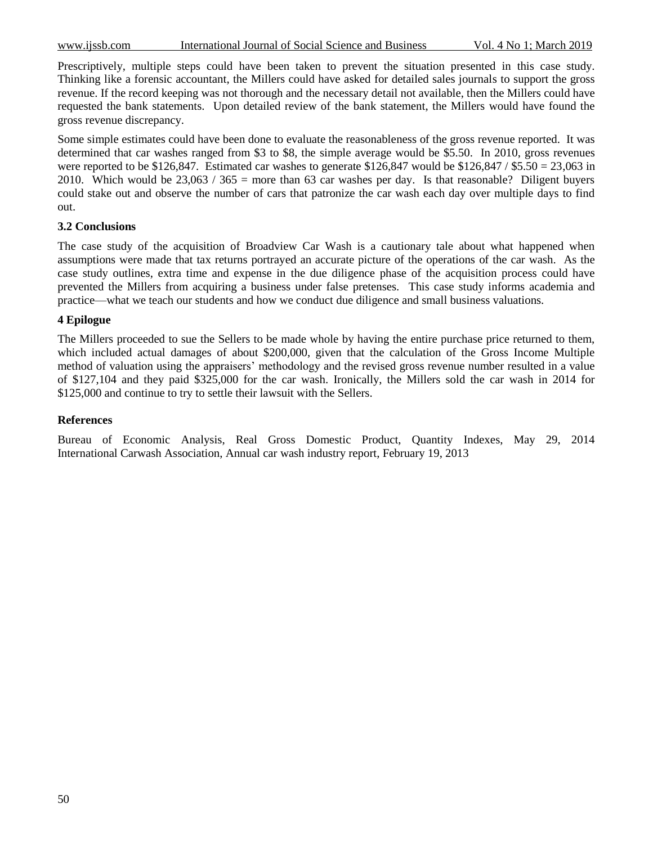www.ijssb.com International Journal of Social Science and Business Vol. 4 No 1; March 2019

Prescriptively, multiple steps could have been taken to prevent the situation presented in this case study. Thinking like a forensic accountant, the Millers could have asked for detailed sales journals to support the gross revenue. If the record keeping was not thorough and the necessary detail not available, then the Millers could have requested the bank statements. Upon detailed review of the bank statement, the Millers would have found the gross revenue discrepancy.

Some simple estimates could have been done to evaluate the reasonableness of the gross revenue reported. It was determined that car washes ranged from \$3 to \$8, the simple average would be \$5.50. In 2010, gross revenues were reported to be \$126,847. Estimated car washes to generate \$126,847 would be \$126,847 / \$5.50 = 23,063 in 2010. Which would be  $23,063 / 365$  = more than 63 car washes per day. Is that reasonable? Diligent buyers could stake out and observe the number of cars that patronize the car wash each day over multiple days to find out.

#### **3.2 Conclusions**

The case study of the acquisition of Broadview Car Wash is a cautionary tale about what happened when assumptions were made that tax returns portrayed an accurate picture of the operations of the car wash. As the case study outlines, extra time and expense in the due diligence phase of the acquisition process could have prevented the Millers from acquiring a business under false pretenses. This case study informs academia and practice—what we teach our students and how we conduct due diligence and small business valuations.

## **4 Epilogue**

The Millers proceeded to sue the Sellers to be made whole by having the entire purchase price returned to them, which included actual damages of about \$200,000, given that the calculation of the Gross Income Multiple method of valuation using the appraisers' methodology and the revised gross revenue number resulted in a value of \$127,104 and they paid \$325,000 for the car wash. Ironically, the Millers sold the car wash in 2014 for \$125,000 and continue to try to settle their lawsuit with the Sellers.

#### **References**

Bureau of Economic Analysis, Real Gross Domestic Product, Quantity Indexes, May 29, 2014 International Carwash Association, Annual car wash industry report, February 19, 2013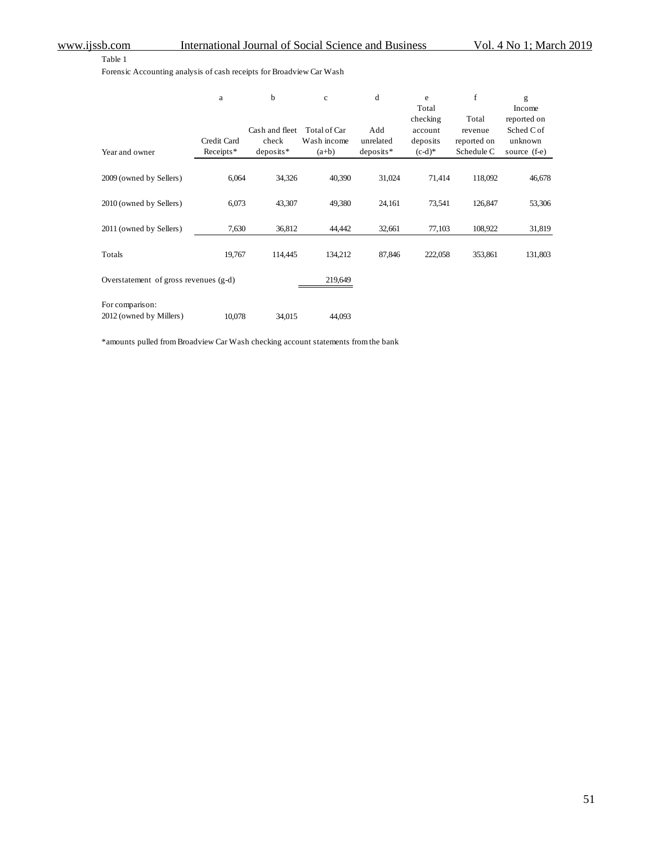Table 1

Forensic Accounting analysis of cash receipts for Broadview Car Wash

|                                       | a           | b              | $\mathbf{c}$ | d           | e<br>Total<br>checking | f<br>Total  | g<br>Income<br>reported on |
|---------------------------------------|-------------|----------------|--------------|-------------|------------------------|-------------|----------------------------|
|                                       |             | Cash and fleet | Total of Car | Add         | account                | revenue     | Sched C of                 |
|                                       | Credit Card | check          | Wash income  | unrelated   | deposits               | reported on | unknown                    |
| Year and owner                        | Receipts*   | $deposits*$    | $(a+b)$      | $deposits*$ | $(c-d)^*$              | Schedule C  | source (f-e)               |
| 2009 (owned by Sellers)               | 6,064       | 34,326         | 40,390       | 31,024      | 71,414                 | 118,092     | 46,678                     |
| 2010 (owned by Sellers)               | 6,073       | 43,307         | 49,380       | 24,161      | 73,541                 | 126,847     | 53,306                     |
|                                       |             |                |              |             |                        |             |                            |
| 2011 (owned by Sellers)               | 7,630       | 36,812         | 44,442       | 32,661      | 77,103                 | 108,922     | 31,819                     |
| Totals                                | 19,767      | 114,445        | 134,212      | 87,846      | 222,058                | 353,861     | 131,803                    |
| Overstatement of gross revenues (g-d) |             |                | 219,649      |             |                        |             |                            |
| For comparison:                       |             |                |              |             |                        |             |                            |
| 2012 (owned by Millers)               | 10,078      | 34,015         | 44,093       |             |                        |             |                            |

\*amounts pulled from Broadview Car Wash checking account statements from the bank